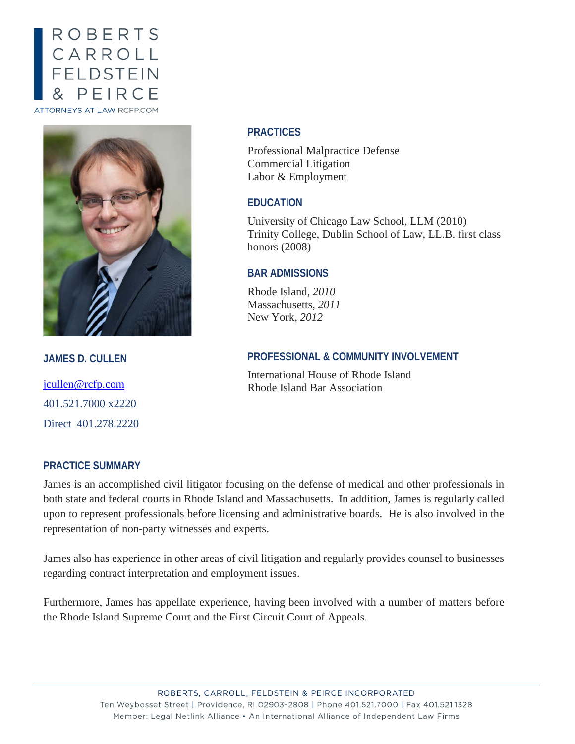# ROBERTS CARROLL<br>FELDSTEIN PEIRCE ATTORNEYS AT LAW RCFP.COM



**JAMES D. CULLEN**

[jcullen@rcfp.com](mailto:jcullen@rcfp.com) 401.521.7000 x2220 Direct 401.278.2220

### **PRACTICE SUMMARY**

#### **PRACTICES**

Professional Malpractice Defense Commercial Litigation Labor & Employment

### **EDUCATION**

University of Chicago Law School, LLM (2010) Trinity College, Dublin School of Law, LL.B. first class honors (2008)

### **BAR ADMISSIONS**

Rhode Island, *2010* Massachusetts, *2011* New York, *2012*

## **PROFESSIONAL & COMMUNITY INVOLVEMENT**

International House of Rhode Island Rhode Island Bar Association

James is an accomplished civil litigator focusing on the defense of medical and other professionals in both state and federal courts in Rhode Island and Massachusetts. In addition, James is regularly called upon to represent professionals before licensing and administrative boards. He is also involved in the representation of non-party witnesses and experts.

James also has experience in other areas of civil litigation and regularly provides counsel to businesses regarding contract interpretation and employment issues.

Furthermore, James has appellate experience, having been involved with a number of matters before the Rhode Island Supreme Court and the First Circuit Court of Appeals.